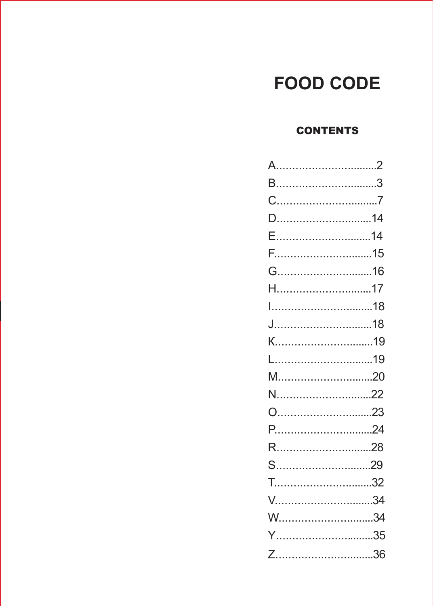#### **FOOD CODE**

#### **CONTENTS**

| A……………………………2 |  |
|---------------|--|
|               |  |
|               |  |
|               |  |
| E14           |  |
|               |  |
| G16           |  |
|               |  |
|               |  |
|               |  |
|               |  |
|               |  |
|               |  |
| N22           |  |
|               |  |
|               |  |
|               |  |
| S29           |  |
|               |  |
|               |  |
|               |  |
| Y35           |  |
|               |  |
|               |  |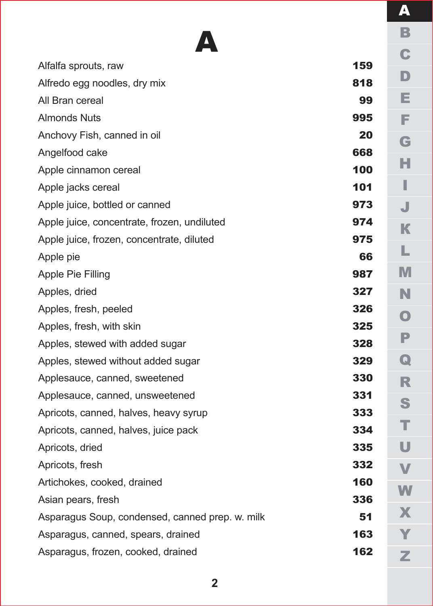|                                       | 7                       |
|---------------------------------------|-------------------------|
|                                       | B                       |
|                                       | C                       |
| 9<br>8                                | D                       |
| 9                                     | E                       |
| 5                                     | F                       |
| 0                                     | G                       |
| 8                                     |                         |
| 0                                     | н                       |
| $\blacksquare$                        | I                       |
| 3                                     | J                       |
| $\overline{\mathbf{4}}$               | K                       |
| 5                                     | L                       |
| $\ddot{\mathbf{6}}$<br>$\overline{7}$ | M                       |
| $\overline{\mathbf{7}}$               | N                       |
| 6                                     |                         |
| 5                                     | $\overline{\textbf{O}}$ |
| 8                                     | P                       |
| 9                                     | $\overline{\mathbf{Q}}$ |
| Ō                                     | R                       |
| $\ddot{\mathbf{1}}$                   | S                       |
| 3                                     |                         |
| 4                                     | т                       |
| 5                                     | Ū                       |
| $\overline{\mathbf{2}}$               | V                       |
| Ö                                     | W                       |
| 6<br>$\ddot{\mathbf{1}}$              | X                       |
| $\ddot{\mathbf{3}}$                   |                         |
| $\overline{\mathbf{2}}$               |                         |
|                                       | Z                       |

| Alfalfa sprouts, raw                            | 159 |
|-------------------------------------------------|-----|
| Alfredo egg noodles, dry mix                    | 818 |
| All Bran cereal                                 | 99  |
| <b>Almonds Nuts</b>                             | 995 |
| Anchovy Fish, canned in oil                     | 20  |
| Angelfood cake                                  | 668 |
| Apple cinnamon cereal                           | 100 |
| Apple jacks cereal                              | 101 |
| Apple juice, bottled or canned                  | 973 |
| Apple juice, concentrate, frozen, undiluted     | 974 |
| Apple juice, frozen, concentrate, diluted       | 975 |
| Apple pie                                       | 66  |
| Apple Pie Filling                               | 987 |
| Apples, dried                                   | 327 |
| Apples, fresh, peeled                           | 326 |
| Apples, fresh, with skin                        | 325 |
| Apples, stewed with added sugar                 | 328 |
| Apples, stewed without added sugar              | 329 |
| Applesauce, canned, sweetened                   | 330 |
| Applesauce, canned, unsweetened                 | 331 |
| Apricots, canned, halves, heavy syrup           | 333 |
| Apricots, canned, halves, juice pack            | 334 |
| Apricots, dried                                 | 335 |
| Apricots, fresh                                 | 332 |
| Artichokes, cooked, drained                     | 160 |
| Asian pears, fresh                              | 336 |
| Asparagus Soup, condensed, canned prep. w. milk | 51  |
| Asparagus, canned, spears, drained              | 163 |
| Asparagus, frozen, cooked, drained              | 162 |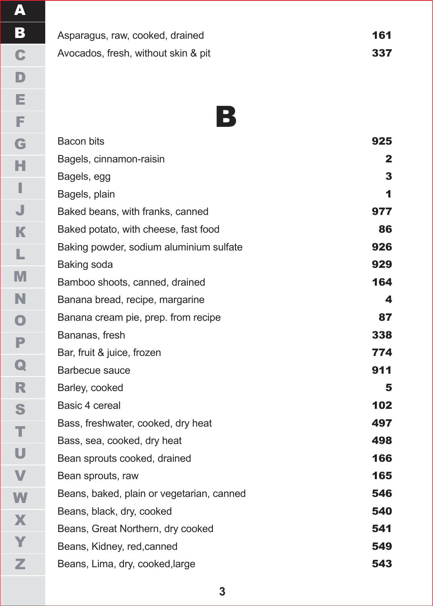Asparagus, raw, cooked, drained Avocados, fresh, without skin & pit

B

9 2 5

| Bacon bits                                | 925          |
|-------------------------------------------|--------------|
| Bagels, cinnamon-raisin                   | $\mathbf{2}$ |
| Bagels, egg                               | 3            |
| Bagels, plain                             | 1            |
| Baked beans, with franks, canned          | 977          |
| Baked potato, with cheese, fast food      | 86           |
| Baking powder, sodium aluminium sulfate   | 926          |
| Baking soda                               | 929          |
| Bamboo shoots, canned, drained            | 164          |
| Banana bread, recipe, margarine           | 4            |
| Banana cream pie, prep. from recipe       | 87           |
| Bananas, fresh                            | 338          |
| Bar, fruit & juice, frozen                | 774          |
| Barbecue sauce                            | 911          |
| Barley, cooked                            | 5            |
| Basic 4 cereal                            | 102          |
| Bass, freshwater, cooked, dry heat        | 497          |
| Bass, sea, cooked, dry heat               | 498          |
| Bean sprouts cooked, drained              | 166          |
| Bean sprouts, raw                         | 165          |
| Beans, baked, plain or vegetarian, canned | 546          |
| Beans, black, dry, cooked                 | 540          |
| Beans, Great Northern, dry cooked         | 541          |
| Beans, Kidney, red, canned                | 549          |
| Beans, Lima, dry, cooked, large           | 543          |
|                                           |              |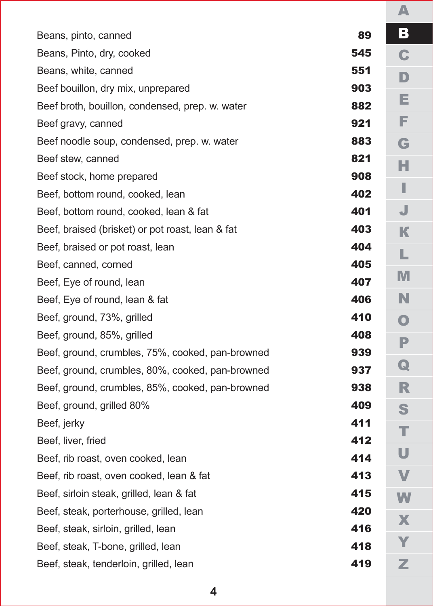| Beans, pinto, canned                             | 89  |  |
|--------------------------------------------------|-----|--|
| Beans, Pinto, dry, cooked                        | 545 |  |
| Beans, white, canned                             | 551 |  |
| Beef bouillon, dry mix, unprepared               | 903 |  |
| Beef broth, bouillon, condensed, prep. w. water  | 882 |  |
| Beef gravy, canned                               | 921 |  |
| Beef noodle soup, condensed, prep. w. water      | 883 |  |
| Beef stew, canned                                | 821 |  |
| Beef stock, home prepared                        | 908 |  |
| Beef, bottom round, cooked, lean                 | 402 |  |
| Beef, bottom round, cooked, lean & fat           | 401 |  |
| Beef, braised (brisket) or pot roast, lean & fat | 403 |  |
| Beef, braised or pot roast, lean                 | 404 |  |
| Beef, canned, corned                             | 405 |  |
| Beef, Eye of round, lean                         | 407 |  |
| Beef, Eye of round, lean & fat                   | 406 |  |
| Beef, ground, 73%, grilled                       | 410 |  |
| Beef, ground, 85%, grilled                       | 408 |  |
| Beef, ground, crumbles, 75%, cooked, pan-browned | 939 |  |
| Beef, ground, crumbles, 80%, cooked, pan-browned | 937 |  |
| Beef, ground, crumbles, 85%, cooked, pan-browned | 938 |  |
| Beef, ground, grilled 80%                        | 409 |  |
| Beef, jerky                                      | 411 |  |
| Beef, liver, fried                               | 412 |  |
| Beef, rib roast, oven cooked, lean               | 414 |  |
| Beef, rib roast, oven cooked, lean & fat         | 413 |  |
| Beef, sirloin steak, grilled, lean & fat         | 415 |  |
| Beef, steak, porterhouse, grilled, lean          | 420 |  |
| Beef, steak, sirloin, grilled, lean              | 416 |  |
| Beef, steak, T-bone, grilled, lean               | 418 |  |
| Beef, steak, tenderloin, grilled, lean           | 419 |  |

АB<br>C BCDEFGHIJ D<br>E F<br>G H  $\frac{1}{J}$ КLМNO<br>P<br>Q PQRSTUVWXYZ  $\overline{\mathsf{R}}$ S<br>T U  $\overline{\mathsf{V}}$ W X Y z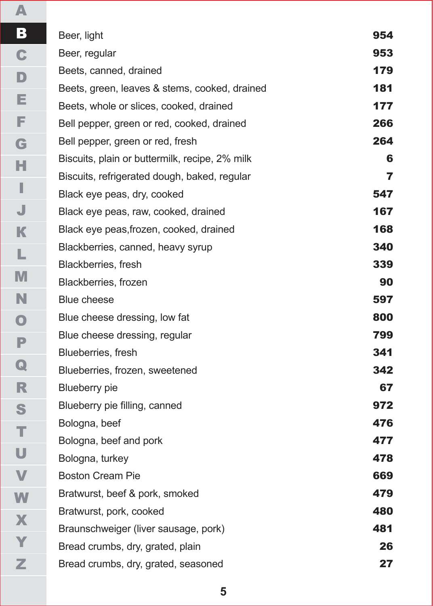| Beer, light                                    | 954            |
|------------------------------------------------|----------------|
| Beer, regular                                  | 953            |
| Beets, canned, drained                         | 179            |
| Beets, green, leaves & stems, cooked, drained  | 181            |
| Beets, whole or slices, cooked, drained        | 177            |
| Bell pepper, green or red, cooked, drained     | 266            |
| Bell pepper, green or red, fresh               | 264            |
| Biscuits, plain or buttermilk, recipe, 2% milk | 6              |
| Biscuits, refrigerated dough, baked, regular   | $\overline{ }$ |
| Black eye peas, dry, cooked                    | 547            |
| Black eye peas, raw, cooked, drained           | 167            |
| Black eye peas, frozen, cooked, drained        | 168            |
| Blackberries, canned, heavy syrup              | 340            |
| Blackberries, fresh                            | 339            |
| Blackberries, frozen                           | 90             |
| Blue cheese                                    | 597            |
| Blue cheese dressing, low fat                  | 800            |
| Blue cheese dressing, regular                  | 799            |
| Blueberries, fresh                             | 341            |
| Blueberries, frozen, sweetened                 | 342            |
| <b>Blueberry</b> pie                           | 67             |
| Blueberry pie filling, canned                  | 972            |
| Bologna, beef                                  | 476            |
| Bologna, beef and pork                         | 477            |
| Bologna, turkey                                | 478            |
| <b>Boston Cream Pie</b>                        | 669            |
| Bratwurst, beef & pork, smoked                 | 479            |
| Bratwurst, pork, cooked                        | 480            |
| Braunschweiger (liver sausage, pork)           | 481            |
| Bread crumbs, dry, grated, plain               | 26             |
| Bread crumbs, dry, grated, seasoned            | 27             |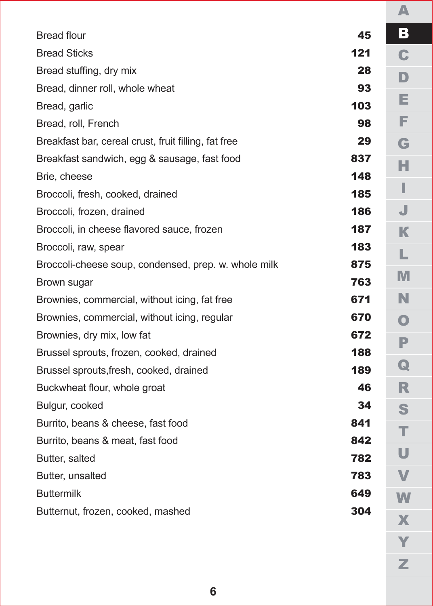| 45  |  |
|-----|--|
| 121 |  |
| 28  |  |
| 93  |  |
| 103 |  |
| 98  |  |
| 29  |  |
| 837 |  |
| 148 |  |
| 185 |  |
| 186 |  |
| 187 |  |
| 183 |  |
| 875 |  |
| 763 |  |
| 671 |  |
| 670 |  |
| 672 |  |
| 188 |  |
| 189 |  |
| 46  |  |
| 34  |  |
| 841 |  |
| 842 |  |
| 782 |  |
| 783 |  |
| 649 |  |
| 304 |  |
|     |  |

АB<br>C BCDEFGHIJ  $\mathbf{D}$ E F G H  $\mathbf{I}$ J КLМNО $\overline{\mathsf{P}}$ PQRSTUVWXYZ  $\overline{\mathbf{Q}}$ R S<br>T U  $\overline{\mathsf{V}}$ W  $\overline{\mathbf{X}}$ Y Z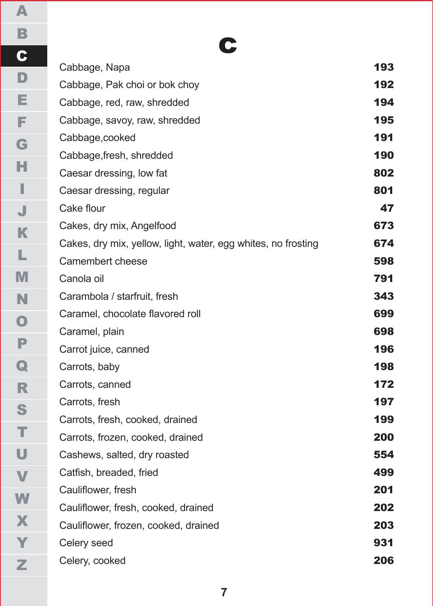c

| Cabbage, Napa                                                 | 193 |
|---------------------------------------------------------------|-----|
| Cabbage, Pak choi or bok choy                                 | 192 |
| Cabbage, red, raw, shredded                                   | 194 |
| Cabbage, savoy, raw, shredded                                 | 195 |
| Cabbage, cooked                                               | 191 |
| Cabbage, fresh, shredded                                      | 190 |
| Caesar dressing, low fat                                      | 802 |
| Caesar dressing, regular                                      | 801 |
| Cake flour                                                    | 47  |
| Cakes, dry mix, Angelfood                                     | 673 |
| Cakes, dry mix, yellow, light, water, egg whites, no frosting | 674 |
| Camembert cheese                                              | 598 |
| Canola oil                                                    | 791 |
| Carambola / starfruit, fresh                                  | 343 |
| Caramel, chocolate flavored roll                              | 699 |
| Caramel, plain                                                | 698 |
| Carrot juice, canned                                          | 196 |
| Carrots, baby                                                 | 198 |
| Carrots, canned                                               | 172 |
| Carrots, fresh                                                | 197 |
| Carrots, fresh, cooked, drained                               | 199 |
| Carrots, frozen, cooked, drained                              | 200 |
| Cashews, salted, dry roasted                                  | 554 |
| Catfish, breaded, fried                                       | 499 |
| Cauliflower, fresh                                            | 201 |
| Cauliflower, fresh, cooked, drained                           | 202 |
| Cauliflower, frozen, cooked, drained                          | 203 |
| Celery seed                                                   | 931 |
| Celery, cooked                                                | 206 |
|                                                               |     |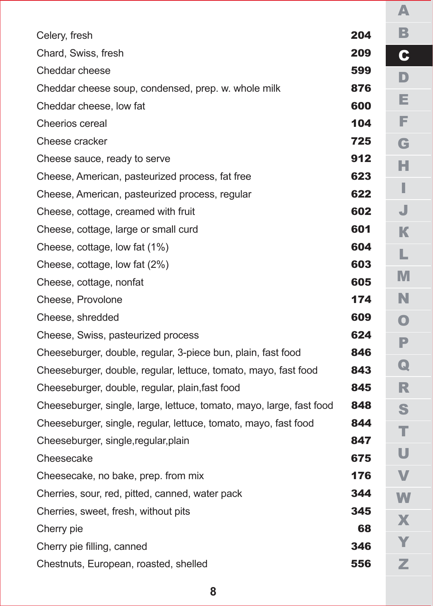| Celery, fresh                                                        | 204 |  |
|----------------------------------------------------------------------|-----|--|
| Chard, Swiss, fresh                                                  | 209 |  |
| Cheddar cheese                                                       | 599 |  |
| Cheddar cheese soup, condensed, prep. w. whole milk                  | 876 |  |
| Cheddar cheese, low fat                                              | 600 |  |
| Cheerios cereal                                                      | 104 |  |
| Cheese cracker                                                       | 725 |  |
| Cheese sauce, ready to serve                                         | 912 |  |
| Cheese, American, pasteurized process, fat free                      | 623 |  |
| Cheese, American, pasteurized process, regular                       | 622 |  |
| Cheese, cottage, creamed with fruit                                  | 602 |  |
| Cheese, cottage, large or small curd                                 | 601 |  |
| Cheese, cottage, low fat (1%)                                        | 604 |  |
| Cheese, cottage, low fat (2%)                                        | 603 |  |
| Cheese, cottage, nonfat                                              | 605 |  |
| Cheese, Provolone                                                    | 174 |  |
| Cheese, shredded                                                     | 609 |  |
| Cheese, Swiss, pasteurized process                                   | 624 |  |
| Cheeseburger, double, regular, 3-piece bun, plain, fast food         | 846 |  |
| Cheeseburger, double, regular, lettuce, tomato, mayo, fast food      | 843 |  |
| Cheeseburger, double, regular, plain, fast food                      | 845 |  |
| Cheeseburger, single, large, lettuce, tomato, mayo, large, fast food | 848 |  |
| Cheeseburger, single, regular, lettuce, tomato, mayo, fast food      | 844 |  |
| Cheeseburger, single, regular, plain                                 | 847 |  |
| Cheesecake                                                           | 675 |  |
| Cheesecake, no bake, prep. from mix                                  | 176 |  |
| Cherries, sour, red, pitted, canned, water pack                      | 344 |  |
| Cherries, sweet, fresh, without pits                                 | 345 |  |
| Cherry pie                                                           | 68  |  |
| Cherry pie filling, canned                                           | 346 |  |
| Chestnuts, European, roasted, shelled                                | 556 |  |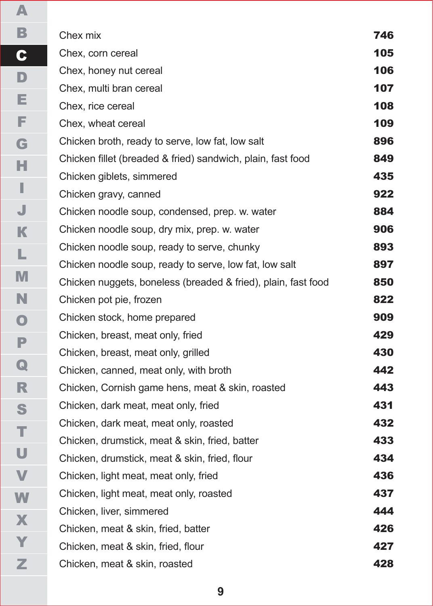| Chex mix                                                      | 746 |
|---------------------------------------------------------------|-----|
| Chex, corn cereal                                             | 105 |
| Chex, honey nut cereal                                        | 106 |
| Chex. multi bran cereal                                       | 107 |
| Chex, rice cereal                                             | 108 |
| Chex, wheat cereal                                            | 109 |
| Chicken broth, ready to serve, low fat, low salt              | 896 |
| Chicken fillet (breaded & fried) sandwich, plain, fast food   | 849 |
| Chicken giblets, simmered                                     | 435 |
| Chicken gravy, canned                                         | 922 |
| Chicken noodle soup, condensed, prep. w. water                | 884 |
| Chicken noodle soup, dry mix, prep. w. water                  | 906 |
| Chicken noodle soup, ready to serve, chunky                   | 893 |
| Chicken noodle soup, ready to serve, low fat, low salt        | 897 |
| Chicken nuggets, boneless (breaded & fried), plain, fast food | 850 |
| Chicken pot pie, frozen                                       | 822 |
| Chicken stock, home prepared                                  | 909 |
| Chicken, breast, meat only, fried                             | 429 |
| Chicken, breast, meat only, grilled                           | 430 |
| Chicken, canned, meat only, with broth                        | 442 |
| Chicken, Cornish game hens, meat & skin, roasted              | 443 |
| Chicken, dark meat, meat only, fried                          | 431 |
| Chicken, dark meat, meat only, roasted                        | 432 |
| Chicken, drumstick, meat & skin, fried, batter                | 433 |
| Chicken, drumstick, meat & skin, fried, flour                 | 434 |
| Chicken, light meat, meat only, fried                         | 436 |
| Chicken, light meat, meat only, roasted                       | 437 |
| Chicken, liver, simmered                                      | 444 |
| Chicken, meat & skin, fried, batter                           | 426 |
| Chicken, meat & skin, fried, flour                            | 427 |
| Chicken, meat & skin, roasted                                 | 428 |

**9**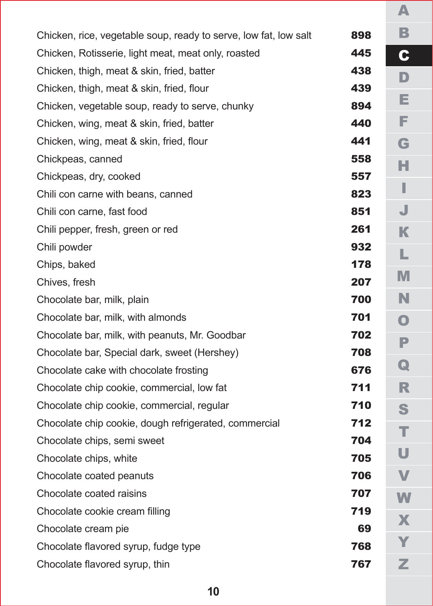| Chicken, rice, vegetable soup, ready to serve, low fat, low salt | 898 |
|------------------------------------------------------------------|-----|
| Chicken, Rotisserie, light meat, meat only, roasted              | 445 |
| Chicken, thigh, meat & skin, fried, batter                       | 438 |
| Chicken, thigh, meat & skin, fried, flour                        | 439 |
| Chicken, vegetable soup, ready to serve, chunky                  | 894 |
| Chicken, wing, meat & skin, fried, batter                        | 440 |
| Chicken, wing, meat & skin, fried, flour                         | 441 |
| Chickpeas, canned                                                | 558 |
| Chickpeas, dry, cooked                                           | 557 |
| Chili con carne with beans, canned                               | 823 |
| Chili con carne, fast food                                       | 851 |
| Chili pepper, fresh, green or red                                | 261 |
| Chili powder                                                     | 932 |
| Chips, baked                                                     | 178 |
| Chives, fresh                                                    | 207 |
| Chocolate bar, milk, plain                                       | 700 |
| Chocolate bar, milk, with almonds                                | 701 |
| Chocolate bar, milk, with peanuts, Mr. Goodbar                   | 702 |
| Chocolate bar, Special dark, sweet (Hershey)                     | 708 |
| Chocolate cake with chocolate frosting                           | 676 |
| Chocolate chip cookie, commercial, low fat                       | 711 |
| Chocolate chip cookie, commercial, regular                       | 710 |
| Chocolate chip cookie, dough refrigerated, commercial            | 712 |
| Chocolate chips, semi sweet                                      | 704 |
| Chocolate chips, white                                           | 705 |
| Chocolate coated peanuts                                         | 706 |
| Chocolate coated raisins                                         | 707 |
| Chocolate cookie cream filling                                   | 719 |
| Chocolate cream pie                                              | 69  |
| Chocolate flavored syrup, fudge type                             | 768 |
| Chocolate flavored syrup, thin                                   | 767 |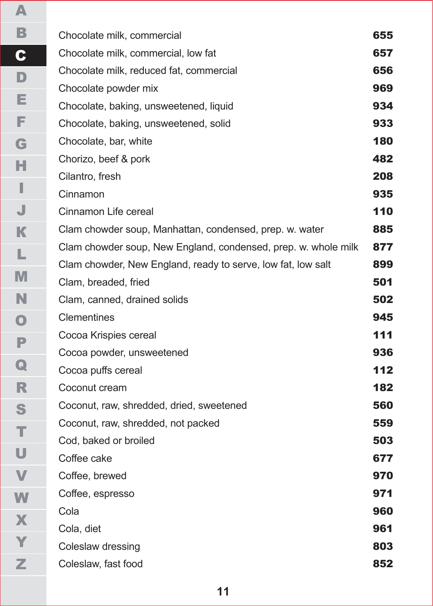| Chocolate milk, commercial                                     | 655 |
|----------------------------------------------------------------|-----|
| Chocolate milk, commercial, low fat                            | 657 |
| Chocolate milk, reduced fat, commercial                        | 656 |
| Chocolate powder mix                                           | 969 |
| Chocolate, baking, unsweetened, liquid                         | 934 |
| Chocolate, baking, unsweetened, solid                          | 933 |
| Chocolate, bar, white                                          | 180 |
| Chorizo, beef & pork                                           | 482 |
| Cilantro, fresh                                                | 208 |
| Cinnamon                                                       | 935 |
| Cinnamon Life cereal                                           | 110 |
| Clam chowder soup, Manhattan, condensed, prep. w. water        | 885 |
| Clam chowder soup, New England, condensed, prep. w. whole milk | 877 |
| Clam chowder, New England, ready to serve, low fat, low salt   | 899 |
| Clam, breaded, fried                                           | 501 |
| Clam, canned, drained solids                                   | 502 |
| Clementines                                                    | 945 |
| Cocoa Krispies cereal                                          | 111 |
| Cocoa powder, unsweetened                                      | 936 |
| Cocoa puffs cereal                                             | 112 |
| Coconut cream                                                  | 182 |
| Coconut, raw, shredded, dried, sweetened                       | 560 |
| Coconut, raw, shredded, not packed                             | 559 |
| Cod, baked or broiled                                          | 503 |
| Coffee cake                                                    | 677 |
| Coffee, brewed                                                 | 970 |
| Coffee, espresso                                               | 971 |
| Cola                                                           | 960 |
| Cola, diet                                                     | 961 |
| Coleslaw dressing                                              | 803 |
| Coleslaw, fast food                                            | 852 |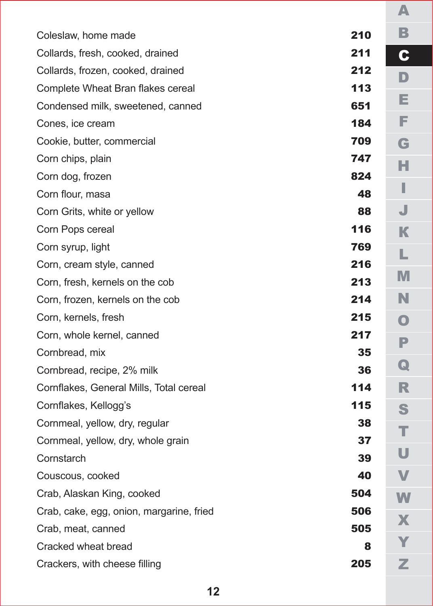| Coleslaw, home made                      | 210 |
|------------------------------------------|-----|
| Collards, fresh, cooked, drained         | 211 |
| Collards, frozen, cooked, drained        | 212 |
| Complete Wheat Bran flakes cereal        | 113 |
| Condensed milk, sweetened, canned        | 651 |
| Cones, ice cream                         | 184 |
| Cookie, butter, commercial               | 709 |
| Corn chips, plain                        | 747 |
| Corn dog, frozen                         | 824 |
| Corn flour, masa                         | 48  |
| Corn Grits, white or yellow              | 88  |
| Corn Pops cereal                         | 116 |
| Corn syrup, light                        | 769 |
| Corn, cream style, canned                | 216 |
| Corn, fresh, kernels on the cob          | 213 |
| Corn, frozen, kernels on the cob         | 214 |
| Corn, kernels, fresh                     | 215 |
| Corn, whole kernel, canned               | 217 |
| Cornbread, mix                           | 35  |
| Cornbread, recipe, 2% milk               | 36  |
| Cornflakes, General Mills, Total cereal  | 114 |
| Cornflakes, Kellogg's                    | 115 |
| Cornmeal, yellow, dry, regular           | 38  |
| Cornmeal, yellow, dry, whole grain       | 37  |
| Cornstarch                               | 39  |
| Couscous, cooked                         | 40  |
| Crab, Alaskan King, cooked               | 504 |
| Crab, cake, egg, onion, margarine, fried | 506 |
| Crab, meat, canned                       | 505 |
| Cracked wheat bread                      | 8   |
| Crackers, with cheese filling            | 205 |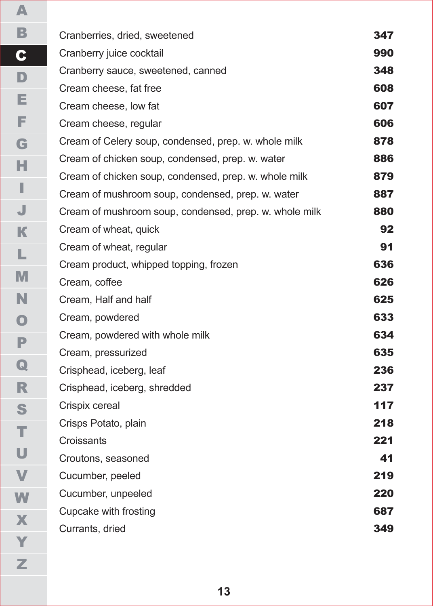| Cranberries, dried, sweetened                          | 347 |
|--------------------------------------------------------|-----|
| Cranberry juice cocktail                               | 990 |
| Cranberry sauce, sweetened, canned                     | 348 |
| Cream cheese, fat free                                 | 608 |
| Cream cheese, low fat                                  | 607 |
| Cream cheese, regular                                  | 606 |
| Cream of Celery soup, condensed, prep. w. whole milk   | 878 |
| Cream of chicken soup, condensed, prep. w. water       | 886 |
| Cream of chicken soup, condensed, prep. w. whole milk  | 879 |
| Cream of mushroom soup, condensed, prep. w. water      | 887 |
| Cream of mushroom soup, condensed, prep. w. whole milk | 880 |
| Cream of wheat, quick                                  | 92  |
| Cream of wheat, regular                                | 91  |
| Cream product, whipped topping, frozen                 | 636 |
| Cream, coffee                                          | 626 |
| Cream, Half and half                                   | 625 |
| Cream, powdered                                        | 633 |
| Cream, powdered with whole milk                        | 634 |
| Cream, pressurized                                     | 635 |
| Crisphead, iceberg, leaf                               | 236 |
| Crisphead, iceberg, shredded                           | 237 |
| Crispix cereal                                         | 117 |
| Crisps Potato, plain                                   | 218 |
| Croissants                                             | 221 |
| Croutons, seasoned                                     | 41  |
| Cucumber, peeled                                       | 219 |
| Cucumber, unpeeled                                     | 220 |
| Cupcake with frosting                                  | 687 |
| Currants, dried                                        | 349 |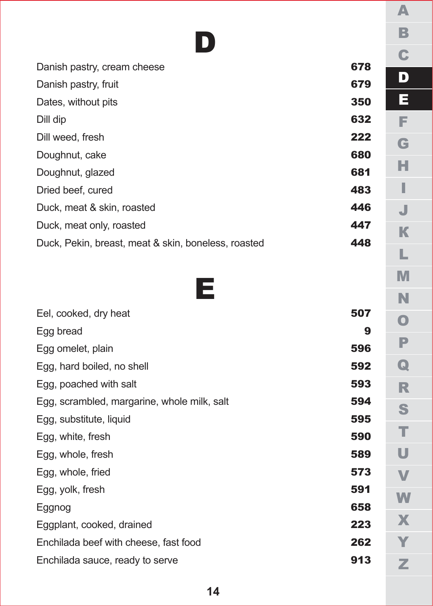## D

| Danish pastry, cream cheese                         | 678 |
|-----------------------------------------------------|-----|
| Danish pastry, fruit                                | 679 |
| Dates, without pits                                 | 350 |
| Dill dip                                            | 632 |
| Dill weed, fresh                                    | 222 |
| Doughnut, cake                                      | 680 |
| Doughnut, glazed                                    | 681 |
| Dried beef, cured                                   | 483 |
| Duck, meat & skin, roasted                          | 446 |
| Duck, meat only, roasted                            | 447 |
| Duck, Pekin, breast, meat & skin, boneless, roasted | 448 |



| Eel, cooked, dry heat                       | 507 |
|---------------------------------------------|-----|
| Egg bread                                   | 9   |
| Egg omelet, plain                           | 596 |
| Egg, hard boiled, no shell                  | 592 |
| Egg, poached with salt                      | 593 |
| Egg, scrambled, margarine, whole milk, salt | 594 |
| Egg, substitute, liquid                     | 595 |
| Egg, white, fresh                           | 590 |
| Egg, whole, fresh                           | 589 |
| Egg, whole, fried                           | 573 |
| Egg, yolk, fresh                            | 591 |
| Eggnog                                      | 658 |
| Eggplant, cooked, drained                   | 223 |
| Enchilada beef with cheese, fast food       | 262 |
| Enchilada sauce, ready to serve             | 913 |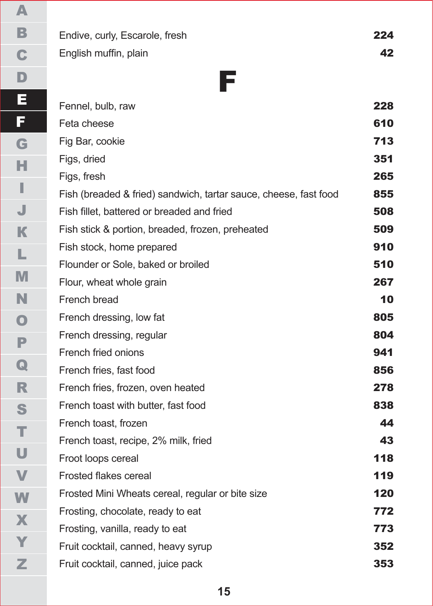Endive, curly, Escarole, fresh 224 English muffin, plain 42

F

Fennel, bulb, raw 228 Feta cheese 610 Fig Bar, cookie 713 Figs, dried 351 Figs, fresh 265 Fish (breaded & fried) sandwich, tartar sauce, cheese, fast food 855

- Fish fillet, battered or breaded and fried 508 Fish stick & portion, breaded, frozen, preheated **509** Fish stock, home prepared **910** Flounder or Sole, baked or broiled 510 Flour, wheat whole grain 267 French bread **10** French dressing, low fat **805** French dressing, regular 804 French fried onions **941** French fries, fast food **856** French fries, frozen, oven heated 278 French toast with butter, fast food **838** French toast, frozen **44** French toast, recipe, 2% milk, fried 43
- Froot loops cereal **118** Frosted flakes cereal **119** Frosted Mini Wheats cereal, regular or bite size 120 Frosting, chocolate, ready to eat 772 Frosting, vanilla, ready to eat **773** Fruit cocktail, canned, heavy syrup 352 Fruit cocktail, canned, juice pack 353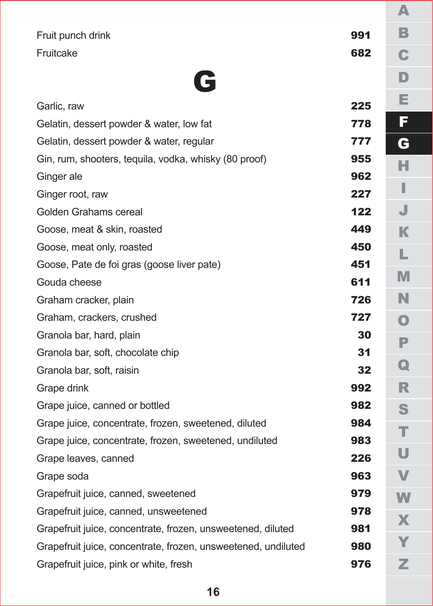|                                                               |     | A           |
|---------------------------------------------------------------|-----|-------------|
| Fruit punch drink                                             | 991 | В           |
| Fruitcake                                                     | 682 | C           |
|                                                               |     | D           |
| E                                                             |     |             |
| Garlic. raw                                                   | 225 | Е           |
| Gelatin, dessert powder & water, low fat                      | 778 | F           |
| Gelatin, dessert powder & water, regular                      | 777 | G           |
| Gin, rum, shooters, tequila, vodka, whisky (80 proof)         | 955 | н           |
| Ginger ale                                                    | 962 |             |
| Ginger root, raw                                              | 227 |             |
| Golden Grahams cereal                                         | 122 | J           |
| Goose, meat & skin, roasted                                   | 449 | К           |
| Goose, meat only, roasted                                     | 450 | L           |
| Goose, Pate de foi gras (goose liver pate)                    | 451 |             |
| Gouda cheese                                                  | 611 | M           |
| Graham cracker, plain                                         | 726 | N           |
| Graham, crackers, crushed                                     | 727 | O           |
| Granola bar, hard, plain                                      | 30  | P           |
| Granola bar, soft, chocolate chip                             | 31  |             |
| Granola bar, soft, raisin                                     | 32  | $\mathbf Q$ |
| Grape drink                                                   | 992 | R           |
| Grape juice, canned or bottled                                | 982 | S           |
| Grape juice, concentrate, frozen, sweetened, diluted          | 984 | т           |
| Grape juice, concentrate, frozen, sweetened, undiluted        | 983 |             |
| Grape leaves, canned                                          | 226 | U           |
| Grape soda                                                    | 963 | V           |
| Grapefruit juice, canned, sweetened                           | 979 | W           |
| Grapefruit juice, canned, unsweetened                         | 978 | X           |
| Grapefruit juice, concentrate, frozen, unsweetened, diluted   | 981 |             |
| Grapefruit juice, concentrate, frozen, unsweetened, undiluted | 980 |             |
| Grapefruit juice, pink or white, fresh                        | 976 | z           |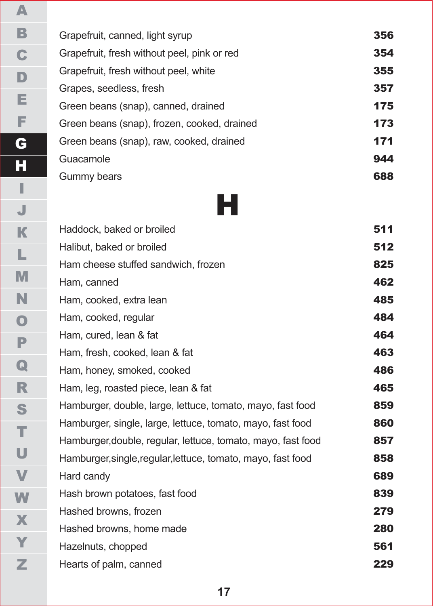| Grapefruit, canned, light syrup             | 356 |
|---------------------------------------------|-----|
| Grapefruit, fresh without peel, pink or red | 354 |
| Grapefruit, fresh without peel, white       | 355 |
| Grapes, seedless, fresh                     | 357 |
| Green beans (snap), canned, drained         | 175 |
| Green beans (snap), frozen, cooked, drained | 173 |
| Green beans (snap), raw, cooked, drained    | 171 |
| Guacamole                                   | 944 |
| Gummy bears                                 | 688 |
|                                             |     |

H

Haddock, baked or broiled 511 Halibut, baked or broiled 512 Ham cheese stuffed sandwich, frozen **825** Ham, canned **462** Ham, cooked, extra lean **1998** and 1999 and 1999 and 1999 and 1999 and 1999 and 1999 and 1999 and 1999 and 1999 and 1999 and 1999 and 1999 and 1999 and 1999 and 1999 and 1999 and 1999 and 1999 and 1999 and 1999 and 1999 an Ham, cooked, regular **484** Ham, cured, lean & fat 464 Ham, fresh, cooked, lean & fat **463** Ham, honey, smoked, cooked **486** Ham, leg, roasted piece, lean & fat 465 Hamburger, double, large, lettuce, tomato, mayo, fast food 859 Hamburger, single, large, lettuce, tomato, mayo, fast food 860 Hamburger, double, regular, lettuce, tomato, mayo, fast food 857 Hamburger, single, regular, lettuce, tomato, mayo, fast food 858 Hard candy **689** Hash brown potatoes, fast food 839 Hashed browns, frozen **279** Hashed browns, home made 280 Hazelnuts, chopped 561 Hearts of palm, canned **229**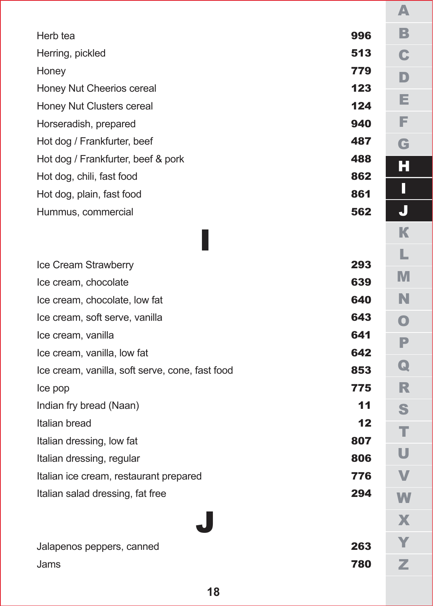| Herb tea                                        | 996 |  |
|-------------------------------------------------|-----|--|
| Herring, pickled                                | 513 |  |
| Honey                                           | 779 |  |
| Honey Nut Cheerios cereal                       | 123 |  |
| Honey Nut Clusters cereal                       | 124 |  |
| Horseradish, prepared                           | 940 |  |
| Hot dog / Frankfurter, beef                     | 487 |  |
| Hot dog / Frankfurter, beef & pork              | 488 |  |
| Hot dog, chili, fast food                       | 862 |  |
| Hot dog, plain, fast food                       | 861 |  |
| Hummus, commercial                              | 562 |  |
|                                                 |     |  |
|                                                 |     |  |
| Ice Cream Strawberry                            | 293 |  |
| Ice cream, chocolate                            | 639 |  |
| Ice cream, chocolate, low fat                   | 640 |  |
| Ice cream, soft serve, vanilla                  | 643 |  |
| Ice cream, vanilla                              | 641 |  |
| Ice cream, vanilla, low fat                     | 642 |  |
| Ice cream, vanilla, soft serve, cone, fast food | 853 |  |
| Ice pop                                         | 775 |  |
| Indian fry bread (Naan)                         | 11  |  |
| Italian bread                                   | 12  |  |
| Italian dressing, low fat                       | 807 |  |
| Italian dressing, regular                       | 806 |  |
| Italian ice cream, restaurant prepared          | 776 |  |
| Italian salad dressing, fat free                | 294 |  |
|                                                 |     |  |
|                                                 |     |  |
| Jalapenos peppers, canned                       | 263 |  |
| Jams                                            | 780 |  |
|                                                 |     |  |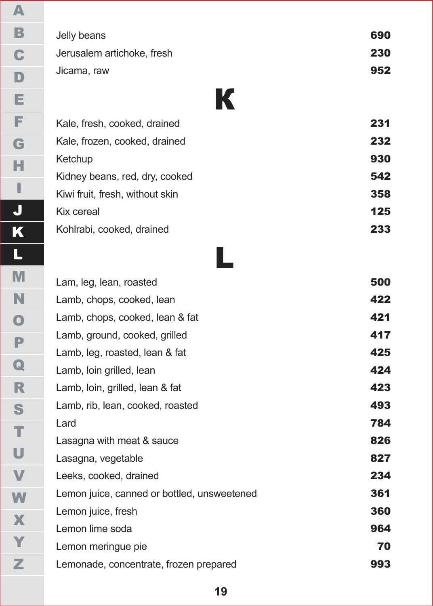| Jelly beans                               | 690<br>230 |
|-------------------------------------------|------------|
| Jerusalem artichoke, fresh<br>Jicama, raw | 952        |
|                                           | К          |

| Kale, fresh, cooked, drained    | 231 |
|---------------------------------|-----|
| Kale, frozen, cooked, drained   | 232 |
| Ketchup                         | 930 |
| Kidney beans, red, dry, cooked  | 542 |
| Kiwi fruit, fresh, without skin | 358 |
| Kix cereal                      | 125 |
| Kohlrabi, cooked, drained       | 233 |
|                                 |     |

# L

| Lam, leg, lean, roasted                     | 500 |
|---------------------------------------------|-----|
| Lamb, chops, cooked, lean                   | 422 |
| Lamb, chops, cooked, lean & fat             | 421 |
| Lamb, ground, cooked, grilled               | 417 |
| Lamb, leg, roasted, lean & fat              | 425 |
| Lamb, loin grilled, lean                    | 424 |
| Lamb, loin, grilled, lean & fat             | 423 |
| Lamb, rib, lean, cooked, roasted            | 493 |
| Lard                                        | 784 |
| Lasagna with meat & sauce                   | 826 |
| Lasagna, vegetable                          | 827 |
| Leeks, cooked, drained                      | 234 |
| Lemon juice, canned or bottled, unsweetened | 361 |
| Lemon juice, fresh                          | 360 |
| Lemon lime soda                             | 964 |
| Lemon meringue pie                          | 70  |
| Lemonade, concentrate, frozen prepared      | 993 |
|                                             |     |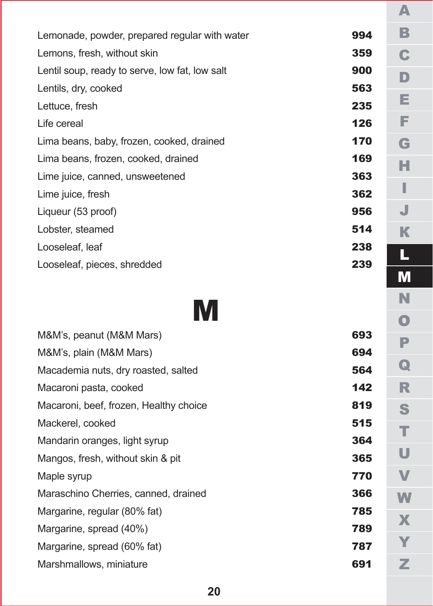| Lemonade, powder, prepared regular with water  | 994 |
|------------------------------------------------|-----|
| Lemons, fresh, without skin                    | 359 |
| Lentil soup, ready to serve, low fat, low salt | 900 |
| Lentils, dry, cooked                           | 563 |
| Lettuce, fresh                                 | 235 |
| Life cereal                                    | 126 |
| Lima beans, baby, frozen, cooked, drained      | 170 |
| Lima beans, frozen, cooked, drained            | 169 |
| Lime juice, canned, unsweetened                | 363 |
| Lime juice, fresh                              | 362 |
| Liqueur (53 proof)                             | 956 |
| Lobster, steamed                               | 514 |
| Looseleaf, leaf                                | 238 |
| Looseleaf, pieces, shredded                    | 239 |

# M

| M&M's, peanut (M&M Mars)               | 693 |
|----------------------------------------|-----|
| M&M's, plain (M&M Mars)                | 694 |
| Macademia nuts, dry roasted, salted    | 564 |
| Macaroni pasta, cooked                 | 142 |
| Macaroni, beef, frozen, Healthy choice | 819 |
| Mackerel, cooked                       | 515 |
| Mandarin oranges, light syrup          | 364 |
| Mangos, fresh, without skin & pit      | 365 |
| Maple syrup                            | 770 |
| Maraschino Cherries, canned, drained   | 366 |
| Margarine, regular (80% fat)           | 785 |
| Margarine, spread (40%)                | 789 |
| Margarine, spread (60% fat)            | 787 |
| Marshmallows, miniature                | 691 |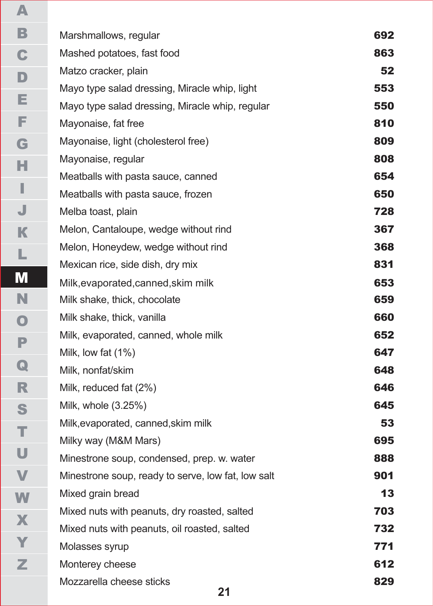| Marshmallows, regular                              | 692 |
|----------------------------------------------------|-----|
| Mashed potatoes, fast food                         | 863 |
| Matzo cracker, plain                               | 52  |
| Mayo type salad dressing, Miracle whip, light      | 553 |
| Mayo type salad dressing, Miracle whip, regular    | 550 |
| Mayonaise, fat free                                | 810 |
| Mayonaise, light (cholesterol free)                | 809 |
| Mayonaise, regular                                 | 808 |
| Meatballs with pasta sauce, canned                 | 654 |
| Meatballs with pasta sauce, frozen                 | 650 |
| Melba toast, plain                                 | 728 |
| Melon, Cantaloupe, wedge without rind              | 367 |
| Melon, Honeydew, wedge without rind                | 368 |
| Mexican rice, side dish, dry mix                   | 831 |
| Milk, evaporated, canned, skim milk                | 653 |
| Milk shake, thick, chocolate                       | 659 |
| Milk shake, thick, vanilla                         | 660 |
| Milk, evaporated, canned, whole milk               | 652 |
| Milk, low fat $(1%)$                               | 647 |
| Milk, nonfat/skim                                  | 648 |
| Milk, reduced fat (2%)                             | 646 |
| Milk, whole (3.25%)                                | 645 |
| Milk, evaporated, canned, skim milk                | 53  |
| Milky way (M&M Mars)                               | 695 |
| Minestrone soup, condensed, prep. w. water         | 888 |
| Minestrone soup, ready to serve, low fat, low salt | 901 |
| Mixed grain bread                                  | 13  |
| Mixed nuts with peanuts, dry roasted, salted       | 703 |
| Mixed nuts with peanuts, oil roasted, salted       | 732 |
| Molasses syrup                                     | 771 |
| Monterey cheese                                    | 612 |
| Mozzarella cheese sticks<br>O <sub>4</sub>         | 829 |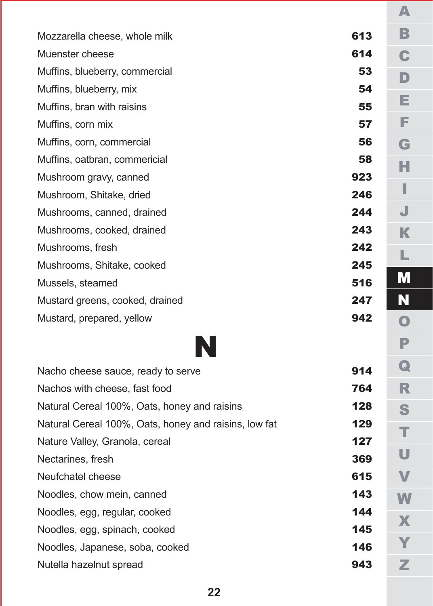| Mozzarella cheese, whole milk                         | 613 |
|-------------------------------------------------------|-----|
| Muenster cheese                                       | 614 |
| Muffins, blueberry, commercial                        | 53  |
| Muffins, blueberry, mix                               | 54  |
| Muffins, bran with raisins                            | 55  |
| Muffins, corn mix                                     | 57  |
| Muffins, corn, commercial                             | 56  |
| Muffins, oatbran, commericial                         | 58  |
| Mushroom gravy, canned                                | 923 |
| Mushroom, Shitake, dried                              | 246 |
| Mushrooms, canned, drained                            | 244 |
| Mushrooms, cooked, drained                            | 243 |
| Mushrooms, fresh                                      | 242 |
| Mushrooms, Shitake, cooked                            | 245 |
| Mussels, steamed                                      | 516 |
| Mustard greens, cooked, drained                       | 247 |
| Mustard, prepared, yellow                             | 942 |
| N                                                     |     |
| Nacho cheese sauce, ready to serve                    | 914 |
| Nachos with cheese, fast food                         | 764 |
| Natural Cereal 100%, Oats, honey and raisins          | 128 |
| Natural Cereal 100%, Oats, honey and raisins, low fat | 129 |
| Nature Valley, Granola, cereal                        | 127 |
| Nectarines, fresh                                     | 369 |

А $\mathbb B$ BCDEFGHIJ  $\mathbf C$ D Е F G н I. J КLМM<br>N О $\mathbb P$ PQRSTUVWXYZ  $\Omega$  $\mathbb{R}$ S. т U  $\mathbf{V}$ W  $\mathbf{X}$ Y  $\mathbb{Z}$ 

6 1 5

1 4 3

1 4 4

1 4 5

1 4 6

9 4 3

Neufchatel cheese

Noodles, chow mein, canned

Noodles, egg, regular, cooked

Noodles, egg, spinach, cooked

Nutella hazelnut spread

Noodles, Japanese, soba, cooked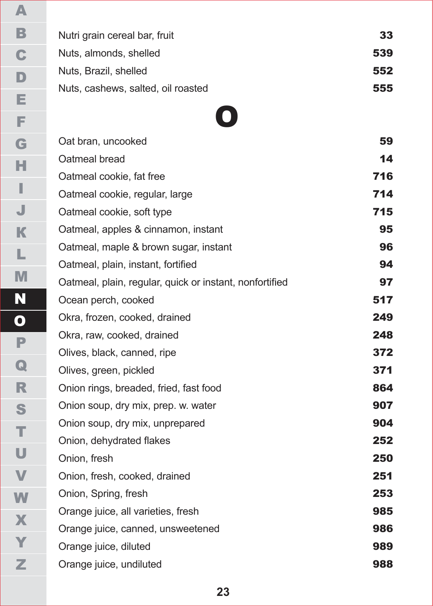| Nutri grain cereal bar, fruit      | 33  |
|------------------------------------|-----|
| Nuts, almonds, shelled             | 539 |
| Nuts. Brazil. shelled              | 552 |
| Nuts, cashews, salted, oil roasted | 555 |

### O

Oat bran, uncooked 5 9 Oatmeal bread 1 4 Oatmeal cookie, fat free 7 1 6 Oatmeal cookie, regular, large 7 1 4 Oatmeal cookie, soft type 7 1 5 Oatmeal, apples & cinnamon, instant 9 5 Oatmeal, maple & brown sugar, instant 9 6 Oatmeal, plain, instant, fortified 9 4 Oatmeal, plain, regular, quick or instant, nonfortified 9 7 Ocean perch, cooked 5 1 7 Okra, frozen, cooked, drained 2 4 9 Okra, raw, cooked, drained 2 4 8 Olives, black, canned, ripe 3 7 2 Olives, green, pickled 3 7 1 Onion rings, breaded, fried, fast food 8 6 4 Onion soup, dry mix, prep. w. water 9 0 7 Onion soup, dry mix, unprepared 9 0 4 Onion, dehydrated flakes 2 5 2 2 5 0 Onion, fresh, cooked, drained 2 5 1

2 5 3

9 8 5

9 8 6

9 8 9

9 8 8

Onion, Spring, fresh Orange juice, all varieties, fresh Orange juice, canned, unsweetened Orange juice, diluted Orange juice, undiluted

Onion, fresh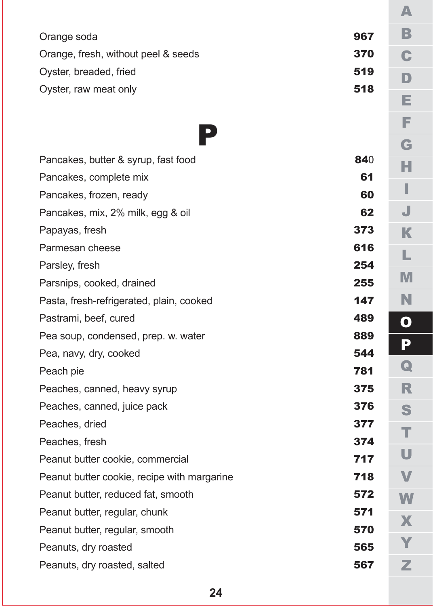|                                             |     | A           |
|---------------------------------------------|-----|-------------|
| Orange soda                                 | 967 | В           |
| Orange, fresh, without peel & seeds         | 370 | C           |
| Oyster, breaded, fried                      | 519 | D           |
| Oyster, raw meat only                       | 518 |             |
|                                             |     | Е           |
|                                             |     | Е           |
| $\overline{\phantom{a}}$                    |     | G           |
| Pancakes, butter & syrup, fast food         | 840 | н           |
| Pancakes, complete mix                      | 61  |             |
| Pancakes, frozen, ready                     | 60  | ı           |
| Pancakes, mix, 2% milk, egg & oil           | 62  | J           |
| Papayas, fresh                              | 373 | К           |
| Parmesan cheese                             | 616 | L           |
| Parsley, fresh                              | 254 |             |
| Parsnips, cooked, drained                   | 255 | M           |
| Pasta, fresh-refrigerated, plain, cooked    | 147 | N           |
| Pastrami, beef, cured                       | 489 | O           |
| Pea soup, condensed, prep. w. water         | 889 | P           |
| Pea, navy, dry, cooked                      | 544 |             |
| Peach pie                                   | 781 | $\mathbf Q$ |
| Peaches, canned, heavy syrup                | 375 | R           |
| Peaches, canned, juice pack                 | 376 | S           |
| Peaches, dried                              | 377 | т           |
| Peaches, fresh                              | 374 |             |
| Peanut butter cookie, commercial            | 717 | U           |
| Peanut butter cookie, recipe with margarine | 718 | V           |
| Peanut butter, reduced fat, smooth          | 572 | W           |
| Peanut butter, regular, chunk               | 571 | X           |
| Peanut butter, regular, smooth              | 570 |             |
| Peanuts, dry roasted                        | 565 |             |
| Peanuts, dry roasted, salted                | 567 | Z           |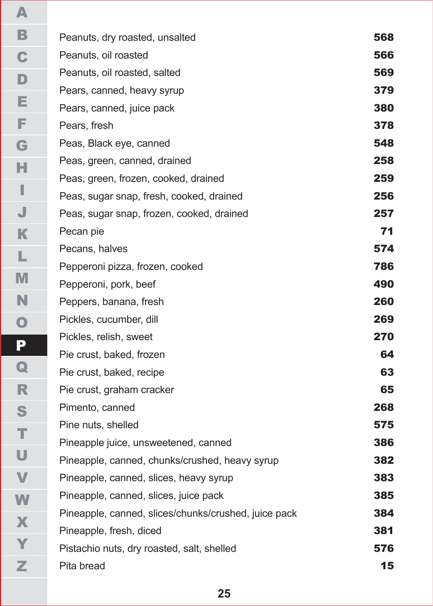| Peanuts, dry roasted, unsalted                       | 568 |
|------------------------------------------------------|-----|
| Peanuts, oil roasted                                 | 566 |
| Peanuts, oil roasted, salted                         | 569 |
| Pears, canned, heavy syrup                           | 379 |
| Pears, canned, juice pack                            | 380 |
| Pears, fresh                                         | 378 |
| Peas, Black eye, canned                              | 548 |
| Peas, green, canned, drained                         | 258 |
| Peas, green, frozen, cooked, drained                 | 259 |
| Peas, sugar snap, fresh, cooked, drained             | 256 |
| Peas, sugar snap, frozen, cooked, drained            | 257 |
| Pecan pie                                            | 71  |
| Pecans, halves                                       | 574 |
| Pepperoni pizza, frozen, cooked                      | 786 |
| Pepperoni, pork, beef                                | 490 |
| Peppers, banana, fresh                               | 260 |
| Pickles, cucumber, dill                              | 269 |
| Pickles, relish, sweet                               | 270 |
| Pie crust, baked, frozen                             | 64  |
| Pie crust, baked, recipe                             | 63  |
| Pie crust, graham cracker                            | 65  |
| Pimento, canned                                      | 268 |
| Pine nuts, shelled                                   | 575 |
| Pineapple juice, unsweetened, canned                 | 386 |
| Pineapple, canned, chunks/crushed, heavy syrup       | 382 |
| Pineapple, canned, slices, heavy syrup               | 383 |
| Pineapple, canned, slices, juice pack                | 385 |
| Pineapple, canned, slices/chunks/crushed, juice pack | 384 |
| Pineapple, fresh, diced                              | 381 |
| Pistachio nuts, dry roasted, salt, shelled           | 576 |
| Pita bread                                           | 15  |
|                                                      |     |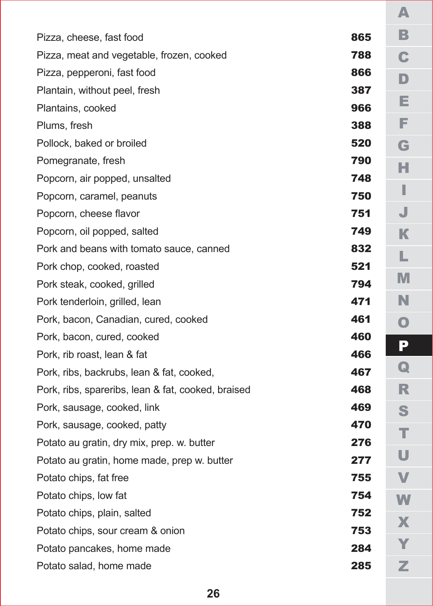| Pizza, cheese, fast food                           | 865 |  |
|----------------------------------------------------|-----|--|
| Pizza, meat and vegetable, frozen, cooked          | 788 |  |
| Pizza, pepperoni, fast food                        | 866 |  |
| Plantain, without peel, fresh                      | 387 |  |
| Plantains, cooked                                  | 966 |  |
| Plums, fresh                                       | 388 |  |
| Pollock, baked or broiled                          | 520 |  |
| Pomegranate, fresh                                 | 790 |  |
| Popcorn, air popped, unsalted                      | 748 |  |
| Popcorn, caramel, peanuts                          | 750 |  |
| Popcorn, cheese flavor                             | 751 |  |
| Popcorn, oil popped, salted                        | 749 |  |
| Pork and beans with tomato sauce, canned           | 832 |  |
| Pork chop, cooked, roasted                         | 521 |  |
| Pork steak, cooked, grilled                        | 794 |  |
| Pork tenderloin, grilled, lean                     | 471 |  |
| Pork, bacon, Canadian, cured, cooked               | 461 |  |
| Pork, bacon, cured, cooked                         | 460 |  |
| Pork, rib roast, lean & fat                        | 466 |  |
| Pork, ribs, backrubs, lean & fat, cooked,          | 467 |  |
| Pork, ribs, spareribs, lean & fat, cooked, braised | 468 |  |
| Pork, sausage, cooked, link                        | 469 |  |
| Pork, sausage, cooked, patty                       | 470 |  |
| Potato au gratin, dry mix, prep. w. butter         | 276 |  |
| Potato au gratin, home made, prep w. butter        | 277 |  |
| Potato chips, fat free                             | 755 |  |
| Potato chips, low fat                              | 754 |  |
| Potato chips, plain, salted                        | 752 |  |
| Potato chips, sour cream & onion                   | 753 |  |
| Potato pancakes, home made                         | 284 |  |
| Potato salad, home made                            | 285 |  |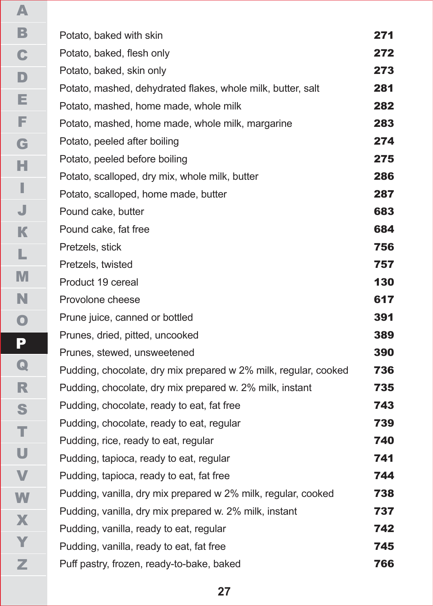| Potato, baked with skin                                         | 271 |
|-----------------------------------------------------------------|-----|
| Potato, baked, flesh only                                       | 272 |
| Potato, baked, skin only                                        | 273 |
| Potato, mashed, dehydrated flakes, whole milk, butter, salt     | 281 |
| Potato, mashed, home made, whole milk                           | 282 |
| Potato, mashed, home made, whole milk, margarine                | 283 |
| Potato, peeled after boiling                                    | 274 |
| Potato, peeled before boiling                                   | 275 |
| Potato, scalloped, dry mix, whole milk, butter                  | 286 |
| Potato, scalloped, home made, butter                            | 287 |
| Pound cake, butter                                              | 683 |
| Pound cake, fat free                                            | 684 |
| Pretzels, stick                                                 | 756 |
| Pretzels, twisted                                               | 757 |
| Product 19 cereal                                               | 130 |
| Provolone cheese                                                | 617 |
| Prune juice, canned or bottled                                  | 391 |
| Prunes, dried, pitted, uncooked                                 | 389 |
| Prunes, stewed, unsweetened                                     | 390 |
| Pudding, chocolate, dry mix prepared w 2% milk, regular, cooked | 736 |
| Pudding, chocolate, dry mix prepared w. 2% milk, instant        | 735 |
| Pudding, chocolate, ready to eat, fat free                      | 743 |
| Pudding, chocolate, ready to eat, regular                       | 739 |
| Pudding, rice, ready to eat, regular                            | 740 |
| Pudding, tapioca, ready to eat, regular                         | 741 |
| Pudding, tapioca, ready to eat, fat free                        | 744 |
| Pudding, vanilla, dry mix prepared w 2% milk, regular, cooked   | 738 |
| Pudding, vanilla, dry mix prepared w. 2% milk, instant          | 737 |
| Pudding, vanilla, ready to eat, regular                         | 742 |
| Pudding, vanilla, ready to eat, fat free                        | 745 |
| Puff pastry, frozen, ready-to-bake, baked                       | 766 |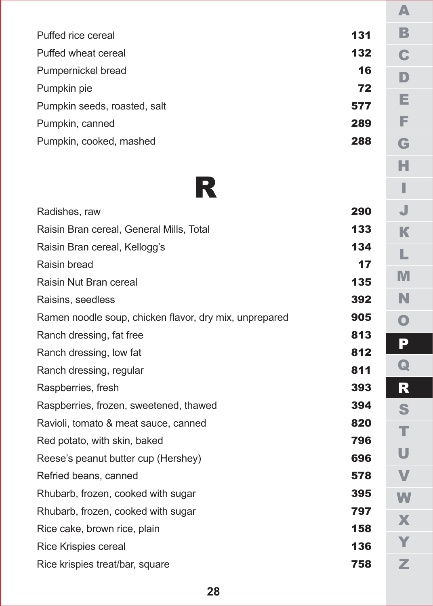| Puffed rice cereal           | 131 |
|------------------------------|-----|
| Puffed wheat cereal          | 132 |
| Pumpernickel bread           | 16  |
| Pumpkin pie                  | 72  |
| Pumpkin seeds, roasted, salt | 577 |
| Pumpkin, canned              | 289 |
| Pumpkin, cooked, mashed      | 288 |
|                              |     |



| Radishes, raw                                          | 290 |  |
|--------------------------------------------------------|-----|--|
| Raisin Bran cereal, General Mills, Total               | 133 |  |
| Raisin Bran cereal, Kellogg's                          | 134 |  |
| Raisin bread                                           | 17  |  |
| Raisin Nut Bran cereal                                 | 135 |  |
| Raisins, seedless                                      | 392 |  |
| Ramen noodle soup, chicken flavor, dry mix, unprepared | 905 |  |
| Ranch dressing, fat free                               | 813 |  |
| Ranch dressing, low fat                                | 812 |  |
| Ranch dressing, regular                                | 811 |  |
| Raspberries, fresh                                     | 393 |  |
| Raspberries, frozen, sweetened, thawed                 | 394 |  |
| Ravioli, tomato & meat sauce, canned                   | 820 |  |
| Red potato, with skin, baked                           | 796 |  |
| Reese's peanut butter cup (Hershey)                    | 696 |  |
| Refried beans, canned                                  | 578 |  |
| Rhubarb, frozen, cooked with sugar                     | 395 |  |
| Rhubarb, frozen, cooked with sugar                     | 797 |  |
| Rice cake, brown rice, plain                           | 158 |  |
| Rice Krispies cereal                                   | 136 |  |
| Rice krispies treat/bar, square                        | 758 |  |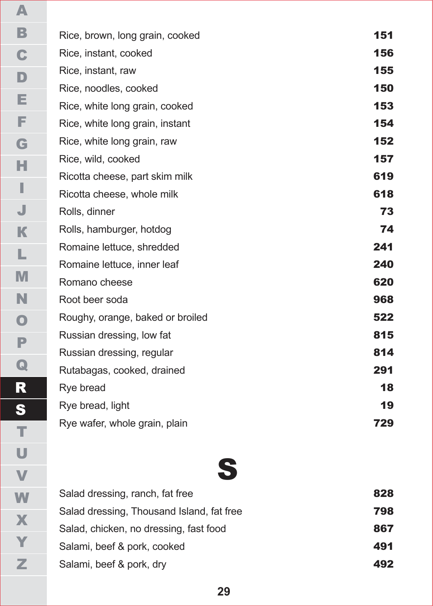| Rice, brown, long grain, cooked  | 151 |
|----------------------------------|-----|
| Rice, instant, cooked            | 156 |
| Rice, instant, raw               | 155 |
| Rice, noodles, cooked            | 150 |
| Rice, white long grain, cooked   | 153 |
| Rice, white long grain, instant  | 154 |
| Rice, white long grain, raw      | 152 |
| Rice, wild, cooked               | 157 |
| Ricotta cheese, part skim milk   | 619 |
| Ricotta cheese, whole milk       | 618 |
| Rolls, dinner                    | 73  |
| Rolls, hamburger, hotdog         | 74  |
| Romaine lettuce, shredded        | 241 |
| Romaine lettuce, inner leaf      | 240 |
| Romano cheese                    | 620 |
| Root beer soda                   | 968 |
| Roughy, orange, baked or broiled | 522 |
| Russian dressing, low fat        | 815 |
| Russian dressing, regular        | 814 |
| Rutabagas, cooked, drained       | 291 |
| Rye bread                        | 18  |
| Rye bread, light                 | 19  |
| Rye wafer, whole grain, plain    | 729 |

# S

| Salad dressing, ranch, fat free           | 828 |
|-------------------------------------------|-----|
| Salad dressing, Thousand Island, fat free | 798 |
| Salad, chicken, no dressing, fast food    | 867 |
| Salami, beef & pork, cooked               | 491 |
| Salami, beef & pork, dry                  | 492 |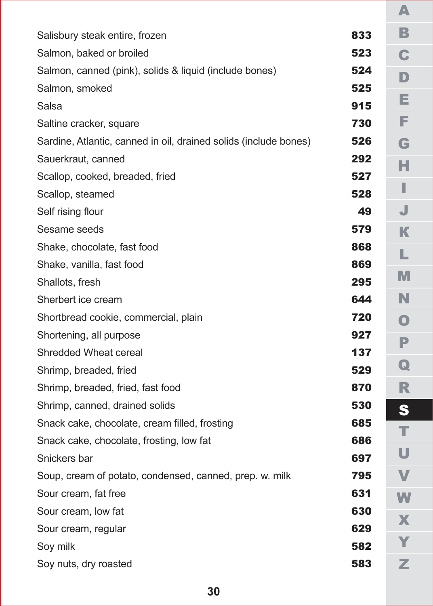| Salisbury steak entire, frozen                                   | 833 |
|------------------------------------------------------------------|-----|
| Salmon, baked or broiled                                         | 523 |
| Salmon, canned (pink), solids & liquid (include bones)           | 524 |
| Salmon, smoked                                                   | 525 |
| Salsa                                                            | 915 |
| Saltine cracker, square                                          | 730 |
| Sardine, Atlantic, canned in oil, drained solids (include bones) | 526 |
| Sauerkraut, canned                                               | 292 |
| Scallop, cooked, breaded, fried                                  | 527 |
| Scallop, steamed                                                 | 528 |
| Self rising flour                                                | 49  |
| Sesame seeds                                                     | 579 |
| Shake, chocolate, fast food                                      | 868 |
| Shake, vanilla, fast food                                        | 869 |
| Shallots, fresh                                                  | 295 |
| Sherbert ice cream                                               | 644 |
| Shortbread cookie, commercial, plain                             | 720 |
| Shortening, all purpose                                          | 927 |
| Shredded Wheat cereal                                            | 137 |
| Shrimp, breaded, fried                                           | 529 |
| Shrimp, breaded, fried, fast food                                | 870 |
| Shrimp, canned, drained solids                                   | 530 |
| Snack cake, chocolate, cream filled, frosting                    | 685 |
| Snack cake, chocolate, frosting, low fat                         | 686 |
| Snickers bar                                                     | 697 |
| Soup, cream of potato, condensed, canned, prep. w. milk          | 795 |
| Sour cream, fat free                                             | 631 |
| Sour cream, low fat                                              | 630 |
| Sour cream, regular                                              | 629 |
| Soy milk                                                         | 582 |
| Soy nuts, dry roasted                                            | 583 |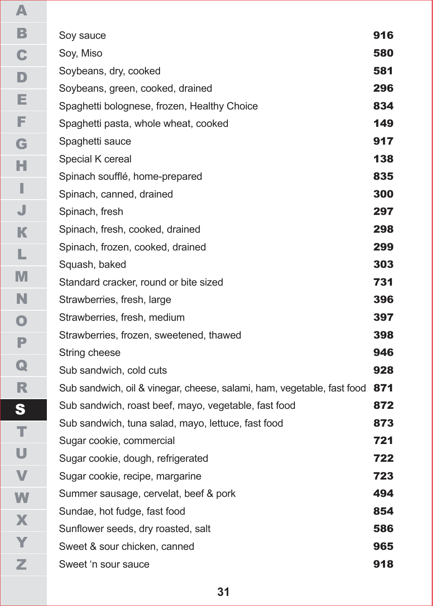| Soy sauce                                                              | 916 |
|------------------------------------------------------------------------|-----|
| Soy, Miso                                                              | 580 |
| Soybeans, dry, cooked                                                  | 581 |
| Soybeans, green, cooked, drained                                       | 296 |
| Spaghetti bolognese, frozen, Healthy Choice                            | 834 |
| Spaghetti pasta, whole wheat, cooked                                   | 149 |
| Spaghetti sauce                                                        | 917 |
| Special K cereal                                                       | 138 |
| Spinach soufflé, home-prepared                                         | 835 |
| Spinach, canned, drained                                               | 300 |
| Spinach, fresh                                                         | 297 |
| Spinach, fresh, cooked, drained                                        | 298 |
| Spinach, frozen, cooked, drained                                       | 299 |
| Squash, baked                                                          | 303 |
| Standard cracker, round or bite sized                                  | 731 |
| Strawberries, fresh, large                                             | 396 |
| Strawberries, fresh, medium                                            | 397 |
| Strawberries, frozen, sweetened, thawed                                | 398 |
| String cheese                                                          | 946 |
| Sub sandwich, cold cuts                                                | 928 |
| Sub sandwich, oil & vinegar, cheese, salami, ham, vegetable, fast food | 871 |
| Sub sandwich, roast beef, mayo, vegetable, fast food                   | 872 |
| Sub sandwich, tuna salad, mayo, lettuce, fast food                     | 873 |
| Sugar cookie, commercial                                               | 721 |
| Sugar cookie, dough, refrigerated                                      | 722 |
| Sugar cookie, recipe, margarine                                        | 723 |
| Summer sausage, cervelat, beef & pork                                  | 494 |
| Sundae, hot fudge, fast food                                           | 854 |
| Sunflower seeds, dry roasted, salt                                     | 586 |
| Sweet & sour chicken. canned                                           | 965 |
| Sweet 'n sour sauce                                                    | 918 |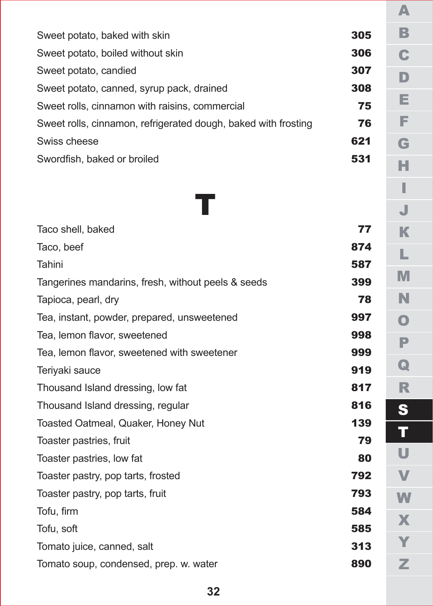| Sweet potato, baked with skin                                  | 305 |
|----------------------------------------------------------------|-----|
| Sweet potato, boiled without skin                              | 306 |
| Sweet potato, candied                                          | 307 |
| Sweet potato, canned, syrup pack, drained                      | 308 |
| Sweet rolls, cinnamon with raisins, commercial                 | 75  |
| Sweet rolls, cinnamon, refrigerated dough, baked with frosting | 76  |
| Swiss cheese                                                   | 621 |
| Swordfish, baked or broiled                                    | 531 |
|                                                                |     |

|            | 77  |                |
|------------|-----|----------------|
|            | 874 |                |
|            | 587 |                |
| Is & seeds | 399 |                |
|            | 78  |                |
| ned:       | 997 |                |
|            | 998 |                |
| ener       | 999 |                |
|            | 919 |                |
|            | 817 |                |
|            | 816 |                |
|            | 139 |                |
|            | 79  |                |
|            | 80  |                |
|            | 792 |                |
|            | 793 | $\overline{a}$ |
|            | 584 |                |
|            | 585 |                |
|            | 313 |                |
|            | 890 |                |

| Taco shell, baked                                  | 77  |
|----------------------------------------------------|-----|
| Taco, beef                                         | 874 |
| Tahini                                             | 587 |
| Tangerines mandarins, fresh, without peels & seeds | 399 |
| Tapioca, pearl, dry                                | 78  |
| Tea, instant, powder, prepared, unsweetened        | 997 |
| Tea, lemon flavor, sweetened                       | 998 |
| Tea, lemon flavor, sweetened with sweetener        | 999 |
| Teriyaki sauce                                     | 919 |
| Thousand Island dressing, low fat                  | 817 |
| Thousand Island dressing, regular                  | 816 |
| Toasted Oatmeal, Quaker, Honey Nut                 |     |
| Toaster pastries, fruit                            | 79  |
| Toaster pastries, low fat                          | 80  |
| Toaster pastry, pop tarts, frosted                 | 792 |
| Toaster pastry, pop tarts, fruit                   |     |
| Tofu, firm                                         | 584 |
| Tofu, soft                                         | 585 |
| Tomato juice, canned, salt                         | 313 |
| Tomato soup, condensed, prep. w. water             | 890 |

А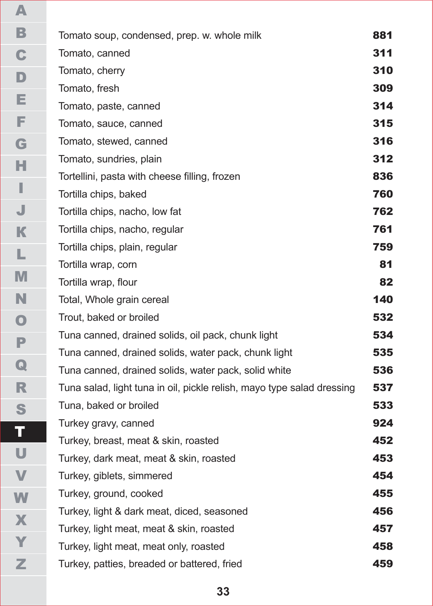| Tomato soup, condensed, prep. w. whole milk                            | 881 |
|------------------------------------------------------------------------|-----|
| Tomato, canned                                                         | 311 |
| Tomato, cherry                                                         | 310 |
| Tomato, fresh                                                          | 309 |
| Tomato, paste, canned                                                  | 314 |
| Tomato, sauce, canned                                                  | 315 |
| Tomato, stewed, canned                                                 | 316 |
| Tomato, sundries, plain                                                | 312 |
| Tortellini, pasta with cheese filling, frozen                          | 836 |
| Tortilla chips, baked                                                  | 760 |
| Tortilla chips, nacho, low fat                                         | 762 |
| Tortilla chips, nacho, regular                                         | 761 |
| Tortilla chips, plain, regular                                         | 759 |
| Tortilla wrap, corn                                                    | 81  |
| Tortilla wrap, flour                                                   | 82  |
| Total, Whole grain cereal                                              | 140 |
| Trout, baked or broiled                                                | 532 |
| Tuna canned, drained solids, oil pack, chunk light                     | 534 |
| Tuna canned, drained solids, water pack, chunk light                   | 535 |
| Tuna canned, drained solids, water pack, solid white                   | 536 |
| Tuna salad, light tuna in oil, pickle relish, mayo type salad dressing | 537 |
| Tuna, baked or broiled                                                 | 533 |
| Turkey gravy, canned                                                   | 924 |
| Turkey, breast, meat & skin, roasted                                   | 452 |
| Turkey, dark meat, meat & skin, roasted                                | 453 |
| Turkey, giblets, simmered                                              | 454 |
| Turkey, ground, cooked                                                 | 455 |
| Turkey, light & dark meat, diced, seasoned                             | 456 |
| Turkey, light meat, meat & skin, roasted                               | 457 |
| Turkey, light meat, meat only, roasted                                 | 458 |
| Turkey, patties, breaded or battered, fried                            | 459 |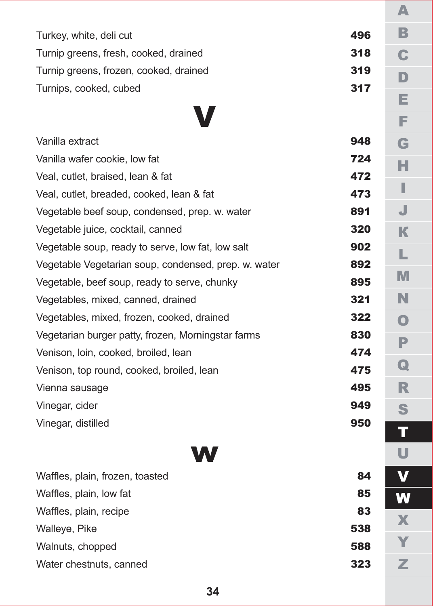| Turkey, white, deli cut                | 496 |
|----------------------------------------|-----|
| Turnip greens, fresh, cooked, drained  | 318 |
| Turnip greens, frozen, cooked, drained | 319 |
| Turnips, cooked, cubed                 | 317 |

## V

| Vanilla extract                                      | 948 |
|------------------------------------------------------|-----|
| Vanilla wafer cookie, low fat                        | 724 |
| Veal, cutlet, braised, lean & fat                    | 472 |
| Veal, cutlet, breaded, cooked, lean & fat            | 473 |
| Vegetable beef soup, condensed, prep. w. water       | 891 |
| Vegetable juice, cocktail, canned                    | 320 |
| Vegetable soup, ready to serve, low fat, low salt    | 902 |
| Vegetable Vegetarian soup, condensed, prep. w. water | 892 |
| Vegetable, beef soup, ready to serve, chunky         | 895 |
| Vegetables, mixed, canned, drained                   | 321 |
| Vegetables, mixed, frozen, cooked, drained           | 322 |
| Vegetarian burger patty, frozen, Morningstar farms   | 830 |
| Venison, Ioin, cooked, broiled, lean                 | 474 |
| Venison, top round, cooked, broiled, lean            | 475 |
| Vienna sausage                                       | 495 |
| Vinegar, cider                                       | 949 |
| Vinegar, distilled                                   | 950 |
|                                                      |     |

| Waffles, plain, frozen, toasted | 84  |
|---------------------------------|-----|
| Waffles, plain, low fat         | 85  |
| Waffles, plain, recipe          | 83  |
| Walleye, Pike                   | 538 |
| Walnuts, chopped                | 588 |
| Water chestnuts, canned         | 323 |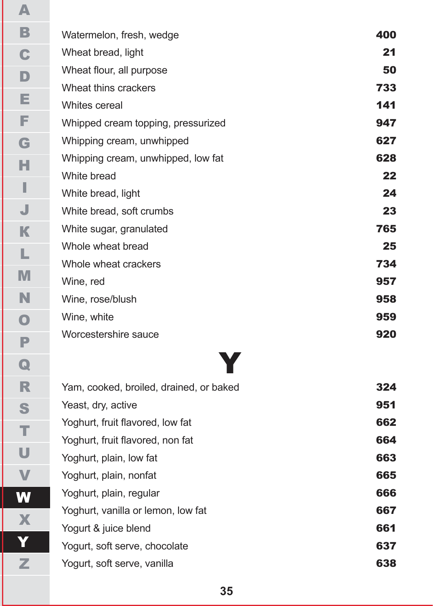| Watermelon, fresh, wedge           | 400 |
|------------------------------------|-----|
| Wheat bread, light                 | 21  |
| Wheat flour, all purpose           | 50  |
| Wheat thins crackers               | 733 |
| Whites cereal                      | 141 |
| Whipped cream topping, pressurized | 947 |
| Whipping cream, unwhipped          | 627 |
| Whipping cream, unwhipped, low fat | 628 |
| White bread                        | 22  |
| White bread, light                 | 24  |
| White bread, soft crumbs           | 23  |
| White sugar, granulated            | 765 |
| Whole wheat bread                  | 25  |
| Whole wheat crackers               | 734 |
| Wine, red                          | 957 |
| Wine, rose/blush                   | 958 |
| Wine, white                        | 959 |
| Worcestershire sauce               | 920 |
|                                    |     |

# Y

|                         | Yam, cooked, broiled, drained, or baked | 324 |
|-------------------------|-----------------------------------------|-----|
| Yeast, dry, active      |                                         | 951 |
|                         | Yoghurt, fruit flavored, low fat        | 662 |
|                         | Yoghurt, fruit flavored, non fat        | 664 |
| Yoghurt, plain, low fat |                                         | 663 |
| Yoghurt, plain, nonfat  |                                         | 665 |
| Yoghurt, plain, regular |                                         | 666 |
|                         | Yoghurt, vanilla or lemon, low fat      | 667 |
| Yogurt & juice blend    |                                         | 661 |
|                         | Yogurt, soft serve, chocolate           | 637 |
|                         | Yogurt, soft serve, vanilla             | 638 |
|                         |                                         |     |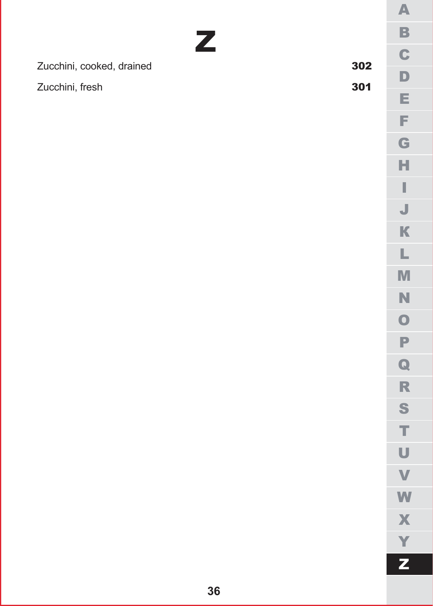| Zucchini, cooked, drained | 302 |  |
|---------------------------|-----|--|
| Zucchini, fresh           | 301 |  |